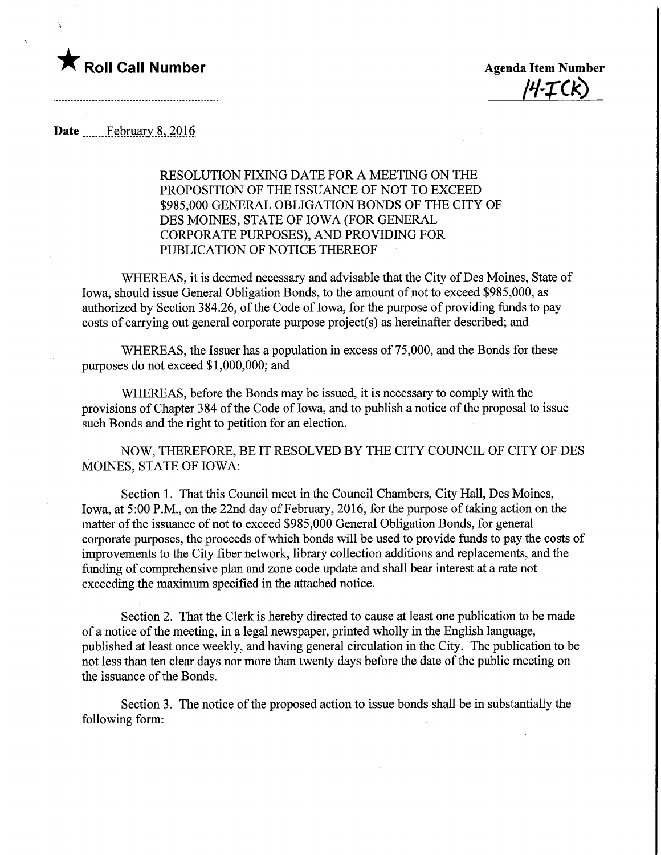

 $I4-TCK$ 

## Date February 8, 2016

RESOLUTION FIXING DATE FOR A MEETING ON THE PROPOSITION OF THE ISSUANCE OF NOT TO EXCEED \$985,000 GENERAL OBLIGATION BONDS OF THE CITY OF DES MOINES, STATE OF IOWA (FOR GENERAL CORPORATE PURPOSES), AND PROVIDING FOR PUBLICATION OF NOTICE THEREOF

WHEREAS, it is deemed necessary and advisable that the City of Des Moines, State of Iowa, should issue General Obligation Bonds, to the amount of not to exceed \$985,000, as authorized by Section 384.26, of the Code of Iowa, for the purpose of providing funds to pay costs of carrying out general corporate purpose project(s) as hereinafter described; and

WHEREAS, the Issuer has a population in excess of 75,000, and the Bonds for these purposes do not exceed \$1,000,000; and

WHEREAS, before the Bonds may be issued, it is necessary to comply with the provisions of Chapter 384 of the Code of Iowa, and to publish a notice of the proposal to issue such Bonds and the right to petition for an election.

NOW, THEREFORE, BE IT RESOLVED BY THE CITY COUNCIL OF CITY OF DES MOINES, STATE OF IOWA:

Section 1. That this Council meet in the Council Chambers, City Hall, Des Moines, Iowa, at 5:00 P.M., on the 22nd day of February, 2016, for the purpose of taking action on the matter of the issuance of not to exceed \$985,000 General Obligation Bonds, for general corporate purposes, the proceeds of which bonds will be used to provide funds to pay the costs of improvements to the City fiber network, library collection additions and replacements, and the funding of comprehensive plan and zone code update and shall bear interest at a rate not exceeding the maximum specified in the attached notice.

Section 2. That the Clerk is hereby directed to cause at least one publication to be made of a notice of the meeting, in a legal newspaper, printed wholly in the English language, published at least once weekly, and having general circulation in the City. The publication to be not less than ten clear days nor more than twenty days before the date of the public meeting on the issuance of the Bonds.

Section 3. The notice of the proposed action to issue bonds shall be in substantially the following form: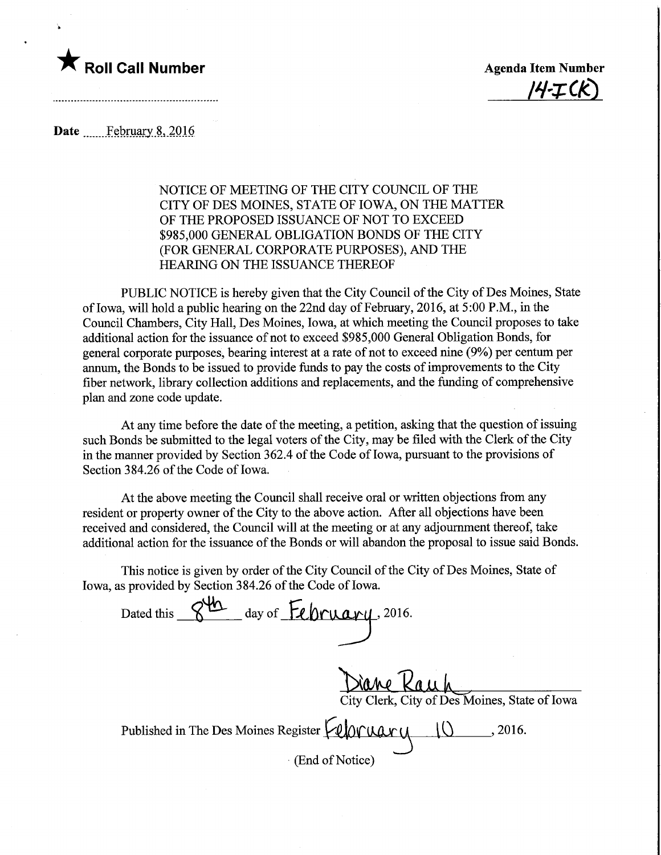

 $\ddot{\phantom{a}}$ 

 $14 - T(K)$ 

Date February 8, 2016

## NOTICE OF MEETING OF THE CITY COUNCIL OF THE CITY OF DES MOINES, STATE OF IOWA, ON THE MATTER OF THE PROPOSED ISSUANCE OF NOT TO EXCEED \$985,000 GENERAL OBLIGATION BONDS OF THE CITY (FOR GENERAL CORPORATE PURPOSES), AND THE HEARING ON THE ISSUANCE THEREOF

PUBLIC NOTICE is hereby given that the City Council of the City of Des Moines, State of Iowa, will hold a public hearing on the 22nd day of Febmary, 2016, at5:OOP.M., in the Council Chambers, City Hall, Des Moines, Iowa, at which meeting the Council proposes to take additional action for the issuance of not to exceed \$985,000 General Obligation Bonds, for general corporate purposes, bearing interest at a rate of not to exceed nine (9%) per centum per annum, the Bonds to be issued to provide funds to pay the costs of improvements to the City fiber network, library collection additions and replacements, and the funding of comprehensive plan and zone code update.

At any time before the date of the meeting, a petition, asking that the question of issuing such Bonds be submitted to the legal voters of the City, may be filed with the Clerk of the City in the manner provided by Section 362.4 of the Code of Iowa, pursuant to the provisions of Section 384.26 of the Code of Iowa.

At the above meeting the Council shall receive oral or written objections from any resident or property owner of the City to the above action. After all objections have been received and considered, the Council will at the meeting or at any adjournment thereof, take additional action for the issuance of the Bonds or will abandon the proposal to issue said Bonds.

This notice is given by order of the City Council of the City of Des Moines, State of Iowa, as provided by Section 384.26 of the Code of Iowa.

Dated this S<sup>u</sup> day of February, 2016. Diane Kauh erk, City of Des Moines, State of Iowa Published in The Des Moines Register  $\Box$   $\Box$   $\Box$  , 2016. (End of Notice) ry<br>